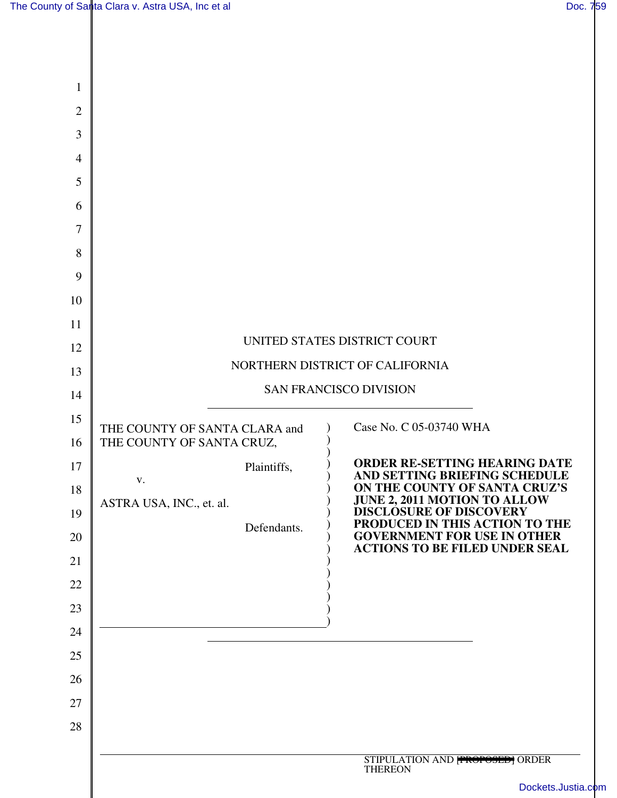| $\mathbf{1}$   |                                                                 |                               |                                                                                                        |  |
|----------------|-----------------------------------------------------------------|-------------------------------|--------------------------------------------------------------------------------------------------------|--|
| $\mathbf{2}$   |                                                                 |                               |                                                                                                        |  |
| 3              |                                                                 |                               |                                                                                                        |  |
| $\overline{4}$ |                                                                 |                               |                                                                                                        |  |
| 5              |                                                                 |                               |                                                                                                        |  |
| 6              |                                                                 |                               |                                                                                                        |  |
| $\overline{7}$ |                                                                 |                               |                                                                                                        |  |
| 8              |                                                                 |                               |                                                                                                        |  |
| 9              |                                                                 |                               |                                                                                                        |  |
| 10             |                                                                 |                               |                                                                                                        |  |
| 11             |                                                                 |                               |                                                                                                        |  |
| 12             | UNITED STATES DISTRICT COURT<br>NORTHERN DISTRICT OF CALIFORNIA |                               |                                                                                                        |  |
| 13             |                                                                 |                               |                                                                                                        |  |
| 14             |                                                                 | <b>SAN FRANCISCO DIVISION</b> |                                                                                                        |  |
| 15             | THE COUNTY OF SANTA CLARA and                                   |                               | Case No. C 05-03740 WHA                                                                                |  |
| 16             | THE COUNTY OF SANTA CRUZ,                                       |                               |                                                                                                        |  |
| 17             | V.                                                              | Plaintiffs,                   | <b>ORDER RE-SETTING HEARING DATE</b><br>AND SETTING BRIEFING SCHEDULE<br>ON THE COUNTY OF SANTA CRUZ'S |  |
| 18<br>19       | ASTRA USA, INC., et. al.                                        |                               | <b>JUNE 2, 2011 MOTION TO ALLOW</b><br><b>DISCLOSURE OF DISCOVERY</b>                                  |  |
| 20             |                                                                 | Defendants.                   | PRODUCED IN THIS ACTION TO THE<br><b>GOVERNMENT FOR USE IN OTHER</b>                                   |  |
| 21             |                                                                 |                               | <b>ACTIONS TO BE FILED UNDER SEAL</b>                                                                  |  |
| 22             |                                                                 |                               |                                                                                                        |  |
| 23             |                                                                 |                               |                                                                                                        |  |
| 24             |                                                                 |                               |                                                                                                        |  |
| 25             |                                                                 |                               |                                                                                                        |  |
| 26             |                                                                 |                               |                                                                                                        |  |
| 27             |                                                                 |                               |                                                                                                        |  |
| 28             |                                                                 |                               |                                                                                                        |  |
|                |                                                                 |                               | STIPULATION AND <b>FROPOSED</b> ORDER                                                                  |  |
|                |                                                                 |                               | <b>THEREON</b>                                                                                         |  |

[Dockets.Justia.com](http://dockets.justia.com/)